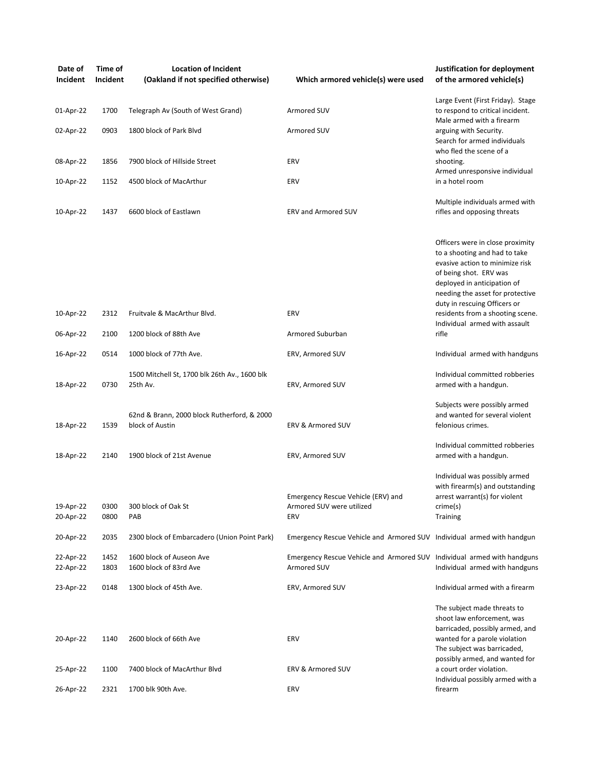| Date of<br>Incident    | Time of<br>Incident | <b>Location of Incident</b><br>(Oakland if not specified otherwise) | Which armored vehicle(s) were used                                                     | Justification for deployment<br>of the armored vehicle(s)                                                                                                                                                                                                             |
|------------------------|---------------------|---------------------------------------------------------------------|----------------------------------------------------------------------------------------|-----------------------------------------------------------------------------------------------------------------------------------------------------------------------------------------------------------------------------------------------------------------------|
| 01-Apr-22              | 1700                | Telegraph Av (South of West Grand)                                  | Armored SUV                                                                            | Large Event (First Friday). Stage<br>to respond to critical incident.                                                                                                                                                                                                 |
| 02-Apr-22              | 0903                | 1800 block of Park Blyd                                             | Armored SUV                                                                            | Male armed with a firearm<br>arguing with Security.<br>Search for armed individuals                                                                                                                                                                                   |
| 08-Apr-22              | 1856                | 7900 block of Hillside Street                                       | ERV                                                                                    | who fled the scene of a<br>shooting.<br>Armed unresponsive individual                                                                                                                                                                                                 |
| 10-Apr-22              | 1152                | 4500 block of MacArthur                                             | ERV                                                                                    | in a hotel room                                                                                                                                                                                                                                                       |
| 10-Apr-22              | 1437                | 6600 block of Eastlawn                                              | <b>ERV and Armored SUV</b>                                                             | Multiple individuals armed with<br>rifles and opposing threats                                                                                                                                                                                                        |
| 10-Apr-22              | 2312                | Fruitvale & MacArthur Blvd.                                         | ERV                                                                                    | Officers were in close proximity<br>to a shooting and had to take<br>evasive action to minimize risk<br>of being shot. ERV was<br>deployed in anticipation of<br>needing the asset for protective<br>duty in rescuing Officers or<br>residents from a shooting scene. |
| 06-Apr-22              | 2100                | 1200 block of 88th Ave                                              | Armored Suburban                                                                       | Individual armed with assault<br>rifle                                                                                                                                                                                                                                |
| 16-Apr-22              | 0514                | 1000 block of 77th Ave.                                             | ERV, Armored SUV                                                                       | Individual armed with handguns                                                                                                                                                                                                                                        |
| 18-Apr-22              | 0730                | 1500 Mitchell St, 1700 blk 26th Av., 1600 blk<br>25th Av.           | ERV, Armored SUV                                                                       | Individual committed robberies<br>armed with a handgun.                                                                                                                                                                                                               |
| 18-Apr-22              | 1539                | 62nd & Brann, 2000 block Rutherford, & 2000<br>block of Austin      | ERV & Armored SUV                                                                      | Subjects were possibly armed<br>and wanted for several violent<br>felonious crimes.                                                                                                                                                                                   |
| 18-Apr-22              | 2140                | 1900 block of 21st Avenue                                           | ERV, Armored SUV                                                                       | Individual committed robberies<br>armed with a handgun.                                                                                                                                                                                                               |
| 19-Apr-22<br>20-Apr-22 | 0300<br>0800        | 300 block of Oak St<br>PAB                                          | Emergency Rescue Vehicle (ERV) and<br>Armored SUV were utilized<br>ERV                 | Individual was possibly armed<br>with firearm(s) and outstanding<br>arrest warrant(s) for violent<br>crime(s)<br>Training                                                                                                                                             |
| 20-Apr-22              | 2035                | 2300 block of Embarcadero (Union Point Park)                        | Emergency Rescue Vehicle and Armored SUV Individual armed with handgun                 |                                                                                                                                                                                                                                                                       |
| 22-Apr-22<br>22-Apr-22 | 1452<br>1803        | 1600 block of Auseon Ave<br>1600 block of 83rd Ave                  | Emergency Rescue Vehicle and Armored SUV Individual armed with handguns<br>Armored SUV | Individual armed with handguns                                                                                                                                                                                                                                        |
| 23-Apr-22              | 0148                | 1300 block of 45th Ave.                                             | ERV, Armored SUV                                                                       | Individual armed with a firearm                                                                                                                                                                                                                                       |
| 20-Apr-22              | 1140                | 2600 block of 66th Ave                                              | ERV                                                                                    | The subject made threats to<br>shoot law enforcement, was<br>barricaded, possibly armed, and<br>wanted for a parole violation<br>The subject was barricaded,<br>possibly armed, and wanted for                                                                        |
| 25-Apr-22              | 1100                | 7400 block of MacArthur Blvd                                        | ERV & Armored SUV                                                                      | a court order violation.<br>Individual possibly armed with a                                                                                                                                                                                                          |
| 26-Apr-22              | 2321                | 1700 blk 90th Ave.                                                  | ERV                                                                                    | firearm                                                                                                                                                                                                                                                               |